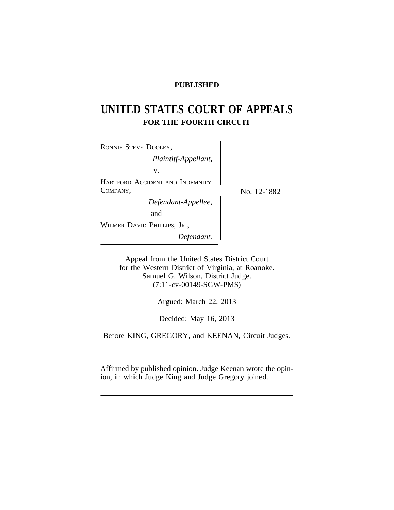# **PUBLISHED**

# **UNITED STATES COURT OF APPEALS FOR THE FOURTH CIRCUIT**

<sup>R</sup>ONNIE STEVE DOOLEY, *Plaintiff-Appellant,* v. HARTFORD ACCIDENT AND INDEMNITY  $COMPANY, \qquad \qquad \qquad \sum_{N_{\text{O}}} N_{\text{O}}$  12-1882 *Defendant-Appellee,* and WILMER DAVID PHILLIPS, JR., *Defendant.*

Appeal from the United States District Court for the Western District of Virginia, at Roanoke. Samuel G. Wilson, District Judge. (7:11-cv-00149-SGW-PMS)

Argued: March 22, 2013

Decided: May 16, 2013

Before KING, GREGORY, and KEENAN, Circuit Judges.

Affirmed by published opinion. Judge Keenan wrote the opinion, in which Judge King and Judge Gregory joined.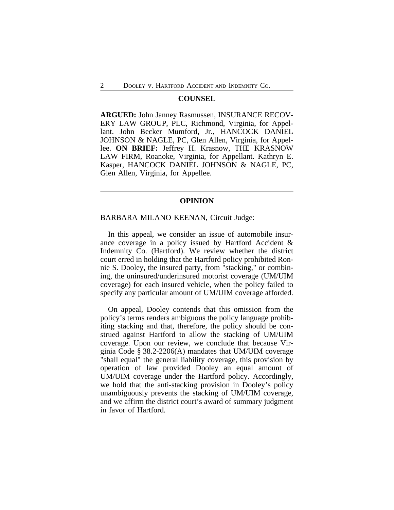#### **COUNSEL**

**ARGUED:** John Janney Rasmussen, INSURANCE RECOV-ERY LAW GROUP, PLC, Richmond, Virginia, for Appellant. John Becker Mumford, Jr., HANCOCK DANIEL JOHNSON & NAGLE, PC, Glen Allen, Virginia, for Appellee. **ON BRIEF:** Jeffrey H. Krasnow, THE KRASNOW LAW FIRM, Roanoke, Virginia, for Appellant. Kathryn E. Kasper, HANCOCK DANIEL JOHNSON & NAGLE, PC, Glen Allen, Virginia, for Appellee.

### **OPINION**

#### BARBARA MILANO KEENAN, Circuit Judge:

In this appeal, we consider an issue of automobile insurance coverage in a policy issued by Hartford Accident & Indemnity Co. (Hartford). We review whether the district court erred in holding that the Hartford policy prohibited Ronnie S. Dooley, the insured party, from "stacking," or combining, the uninsured/underinsured motorist coverage (UM/UIM coverage) for each insured vehicle, when the policy failed to specify any particular amount of UM/UIM coverage afforded.

On appeal, Dooley contends that this omission from the policy's terms renders ambiguous the policy language prohibiting stacking and that, therefore, the policy should be construed against Hartford to allow the stacking of UM/UIM coverage. Upon our review, we conclude that because Virginia Code § 38.2-2206(A) mandates that UM/UIM coverage "shall equal" the general liability coverage, this provision by operation of law provided Dooley an equal amount of UM/UIM coverage under the Hartford policy. Accordingly, we hold that the anti-stacking provision in Dooley's policy unambiguously prevents the stacking of UM/UIM coverage, and we affirm the district court's award of summary judgment in favor of Hartford.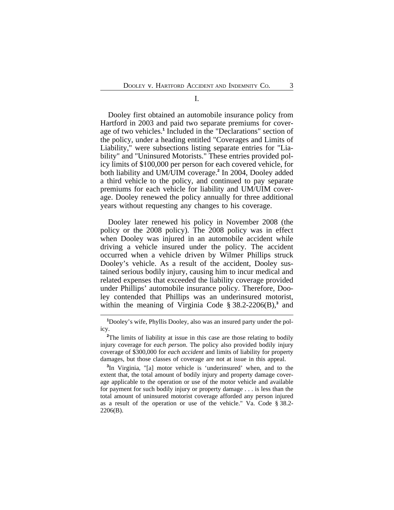I.

Dooley first obtained an automobile insurance policy from Hartford in 2003 and paid two separate premiums for coverage of two vehicles.**<sup>1</sup>** Included in the "Declarations" section of the policy, under a heading entitled "Coverages and Limits of Liability," were subsections listing separate entries for "Liability" and "Uninsured Motorists." These entries provided policy limits of \$100,000 per person for each covered vehicle, for both liability and UM/UIM coverage.**<sup>2</sup>** In 2004, Dooley added a third vehicle to the policy, and continued to pay separate premiums for each vehicle for liability and UM/UIM coverage. Dooley renewed the policy annually for three additional years without requesting any changes to his coverage.

Dooley later renewed his policy in November 2008 (the policy or the 2008 policy). The 2008 policy was in effect when Dooley was injured in an automobile accident while driving a vehicle insured under the policy. The accident occurred when a vehicle driven by Wilmer Phillips struck Dooley's vehicle. As a result of the accident, Dooley sustained serious bodily injury, causing him to incur medical and related expenses that exceeded the liability coverage provided under Phillips' automobile insurance policy. Therefore, Dooley contended that Phillips was an underinsured motorist, within the meaning of Virginia Code § 38.2-2206(B),**<sup>3</sup>** and

**<sup>1</sup>**Dooley's wife, Phyllis Dooley, also was an insured party under the policy.

<sup>&</sup>lt;sup>2</sup>The limits of liability at issue in this case are those relating to bodily injury coverage for *each person*. The policy also provided bodily injury coverage of \$300,000 for *each accident* and limits of liability for property damages, but those classes of coverage are not at issue in this appeal.

**<sup>3</sup>** In Virginia, "[a] motor vehicle is 'underinsured' when, and to the extent that, the total amount of bodily injury and property damage coverage applicable to the operation or use of the motor vehicle and available for payment for such bodily injury or property damage . . . is less than the total amount of uninsured motorist coverage afforded any person injured as a result of the operation or use of the vehicle." Va. Code § 38.2- 2206(B).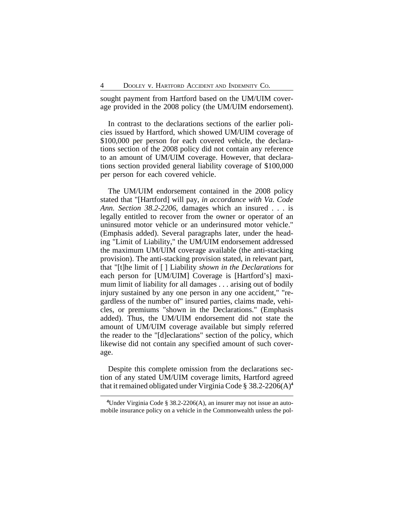sought payment from Hartford based on the UM/UIM coverage provided in the 2008 policy (the UM/UIM endorsement).

In contrast to the declarations sections of the earlier policies issued by Hartford, which showed UM/UIM coverage of \$100,000 per person for each covered vehicle, the declarations section of the 2008 policy did not contain any reference to an amount of UM/UIM coverage. However, that declarations section provided general liability coverage of \$100,000 per person for each covered vehicle.

The UM/UIM endorsement contained in the 2008 policy stated that "[Hartford] will pay, *in accordance with Va. Code Ann. Section 38.2-2206*, damages which an insured . . . is legally entitled to recover from the owner or operator of an uninsured motor vehicle or an underinsured motor vehicle." (Emphasis added). Several paragraphs later, under the heading "Limit of Liability," the UM/UIM endorsement addressed the maximum UM/UIM coverage available (the anti-stacking provision). The anti-stacking provision stated, in relevant part, that "[t]he limit of [ ] Liability *shown in the Declarations* for each person for [UM/UIM] Coverage is [Hartford's] maximum limit of liability for all damages . . . arising out of bodily injury sustained by any one person in any one accident," "regardless of the number of" insured parties, claims made, vehicles, or premiums "shown in the Declarations." (Emphasis added). Thus, the UM/UIM endorsement did not state the amount of UM/UIM coverage available but simply referred the reader to the "[d]eclarations" section of the policy, which likewise did not contain any specified amount of such coverage.

Despite this complete omission from the declarations section of any stated UM/UIM coverage limits, Hartford agreed that it remained obligated under Virginia Code § 38.2-2206(A)**<sup>4</sup>**

**<sup>4</sup>**Under Virginia Code § 38.2-2206(A), an insurer may not issue an automobile insurance policy on a vehicle in the Commonwealth unless the pol-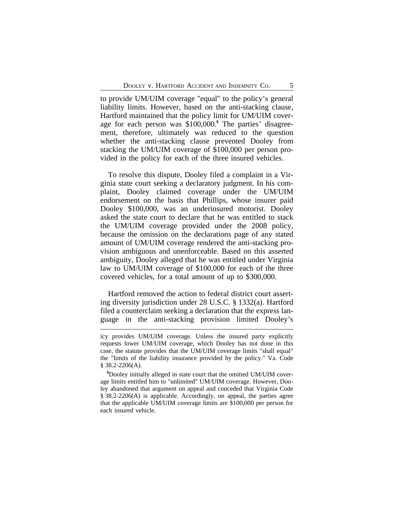to provide UM/UIM coverage "equal" to the policy's general liability limits. However, based on the anti-stacking clause, Hartford maintained that the policy limit for UM/UIM coverage for each person was \$100,000.**<sup>5</sup>** The parties' disagreement, therefore, ultimately was reduced to the question whether the anti-stacking clause prevented Dooley from stacking the UM/UIM coverage of \$100,000 per person provided in the policy for each of the three insured vehicles.

To resolve this dispute, Dooley filed a complaint in a Virginia state court seeking a declaratory judgment. In his complaint, Dooley claimed coverage under the UM/UIM endorsement on the basis that Phillips, whose insurer paid Dooley \$100,000, was an underinsured motorist. Dooley asked the state court to declare that he was entitled to stack the UM/UIM coverage provided under the 2008 policy, because the omission on the declarations page of any stated amount of UM/UIM coverage rendered the anti-stacking provision ambiguous and unenforceable. Based on this asserted ambiguity, Dooley alleged that he was entitled under Virginia law to UM/UIM coverage of \$100,000 for each of the three covered vehicles, for a total amount of up to \$300,000.

Hartford removed the action to federal district court asserting diversity jurisdiction under 28 U.S.C. § 1332(a). Hartford filed a counterclaim seeking a declaration that the express language in the anti-stacking provision limited Dooley's

icy provides UM/UIM coverage. Unless the insured party explicitly requests lower UM/UIM coverage, which Dooley has not done in this case, the statute provides that the UM/UIM coverage limits "shall equal" the "limits of the liability insurance provided by the policy." Va. Code  $§$  38.2-2206(A).

**<sup>5</sup>**Dooley initially alleged in state court that the omitted UM/UIM coverage limits entitled him to "unlimited" UM/UIM coverage. However, Dooley abandoned that argument on appeal and conceded that Virginia Code § 38.2-2206(A) is applicable. Accordingly, on appeal, the parties agree that the applicable UM/UIM coverage limits are \$100,000 per person for each insured vehicle.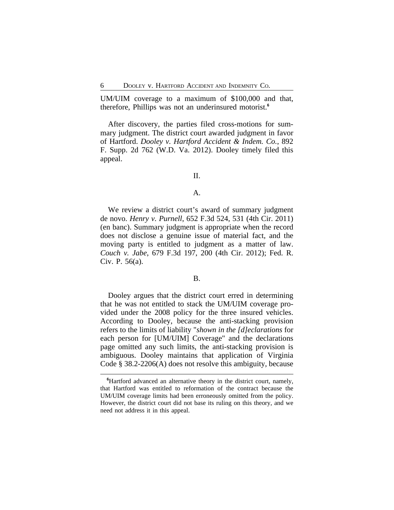UM/UIM coverage to a maximum of \$100,000 and that, therefore, Phillips was not an underinsured motorist.**<sup>6</sup>**

After discovery, the parties filed cross-motions for summary judgment. The district court awarded judgment in favor of Hartford. *Dooley v. Hartford Accident & Indem. Co.*, 892 F. Supp. 2d 762 (W.D. Va. 2012). Dooley timely filed this appeal.

II.

## A.

We review a district court's award of summary judgment de novo. *Henry v. Purnell*, 652 F.3d 524, 531 (4th Cir. 2011) (en banc). Summary judgment is appropriate when the record does not disclose a genuine issue of material fact, and the moving party is entitled to judgment as a matter of law. *Couch v. Jabe*, 679 F.3d 197, 200 (4th Cir. 2012); Fed. R. Civ. P. 56(a).

#### B.

Dooley argues that the district court erred in determining that he was not entitled to stack the UM/UIM coverage provided under the 2008 policy for the three insured vehicles. According to Dooley, because the anti-stacking provision refers to the limits of liability "*shown in the [d]eclarations* for each person for [UM/UIM] Coverage" and the declarations page omitted any such limits, the anti-stacking provision is ambiguous. Dooley maintains that application of Virginia Code § 38.2-2206(A) does not resolve this ambiguity, because

**<sup>6</sup>**Hartford advanced an alternative theory in the district court, namely, that Hartford was entitled to reformation of the contract because the UM/UIM coverage limits had been erroneously omitted from the policy. However, the district court did not base its ruling on this theory, and we need not address it in this appeal.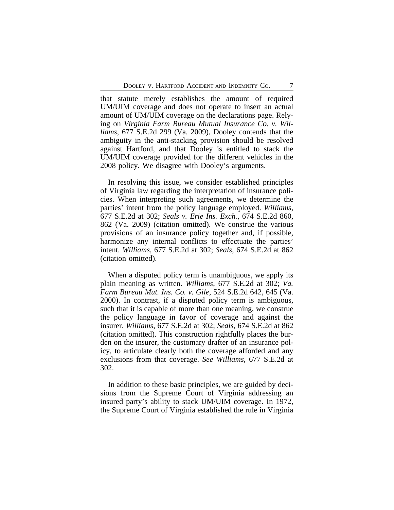that statute merely establishes the amount of required UM/UIM coverage and does not operate to insert an actual amount of UM/UIM coverage on the declarations page. Relying on *Virginia Farm Bureau Mutual Insurance Co. v. Williams*, 677 S.E.2d 299 (Va. 2009), Dooley contends that the ambiguity in the anti-stacking provision should be resolved against Hartford, and that Dooley is entitled to stack the UM/UIM coverage provided for the different vehicles in the 2008 policy. We disagree with Dooley's arguments.

In resolving this issue, we consider established principles of Virginia law regarding the interpretation of insurance policies. When interpreting such agreements, we determine the parties' intent from the policy language employed. *Williams*, 677 S.E.2d at 302; *Seals v. Erie Ins. Exch.*, 674 S.E.2d 860, 862 (Va. 2009) (citation omitted). We construe the various provisions of an insurance policy together and, if possible, harmonize any internal conflicts to effectuate the parties' intent. *Williams*, 677 S.E.2d at 302; *Seals*, 674 S.E.2d at 862 (citation omitted).

When a disputed policy term is unambiguous, we apply its plain meaning as written. *Williams*, 677 S.E.2d at 302; *Va. Farm Bureau Mut. Ins. Co. v. Gile*, 524 S.E.2d 642, 645 (Va. 2000). In contrast, if a disputed policy term is ambiguous, such that it is capable of more than one meaning, we construe the policy language in favor of coverage and against the insurer. *Williams*, 677 S.E.2d at 302; *Seals*, 674 S.E.2d at 862 (citation omitted). This construction rightfully places the burden on the insurer, the customary drafter of an insurance policy, to articulate clearly both the coverage afforded and any exclusions from that coverage. *See Williams*, 677 S.E.2d at 302.

In addition to these basic principles, we are guided by decisions from the Supreme Court of Virginia addressing an insured party's ability to stack UM/UIM coverage. In 1972, the Supreme Court of Virginia established the rule in Virginia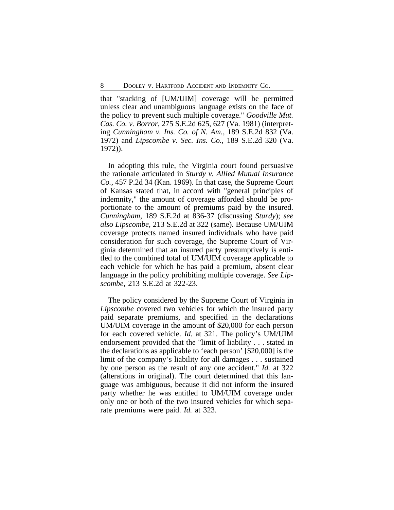that "stacking of [UM/UIM] coverage will be permitted unless clear and unambiguous language exists on the face of the policy to prevent such multiple coverage." *Goodville Mut. Cas. Co. v. Borror*, 275 S.E.2d 625, 627 (Va. 1981) (interpreting *Cunningham v. Ins. Co. of N. Am.*, 189 S.E.2d 832 (Va. 1972) and *Lipscombe v. Sec. Ins. Co.*, 189 S.E.2d 320 (Va. 1972)).

In adopting this rule, the Virginia court found persuasive the rationale articulated in *Sturdy v. Allied Mutual Insurance Co.*, 457 P.2d 34 (Kan. 1969). In that case, the Supreme Court of Kansas stated that, in accord with "general principles of indemnity," the amount of coverage afforded should be proportionate to the amount of premiums paid by the insured. *Cunningham*, 189 S.E.2d at 836-37 (discussing *Sturdy*); *see also Lipscombe*, 213 S.E.2d at 322 (same). Because UM/UIM coverage protects named insured individuals who have paid consideration for such coverage, the Supreme Court of Virginia determined that an insured party presumptively is entitled to the combined total of UM/UIM coverage applicable to each vehicle for which he has paid a premium, absent clear language in the policy prohibiting multiple coverage. *See Lipscombe*, 213 S.E.2d at 322-23.

The policy considered by the Supreme Court of Virginia in *Lipscombe* covered two vehicles for which the insured party paid separate premiums, and specified in the declarations UM/UIM coverage in the amount of \$20,000 for each person for each covered vehicle. *Id.* at 321. The policy's UM/UIM endorsement provided that the "limit of liability . . . stated in the declarations as applicable to 'each person' [\$20,000] is the limit of the company's liability for all damages . . . sustained by one person as the result of any one accident." *Id.* at 322 (alterations in original). The court determined that this language was ambiguous, because it did not inform the insured party whether he was entitled to UM/UIM coverage under only one or both of the two insured vehicles for which separate premiums were paid. *Id.* at 323.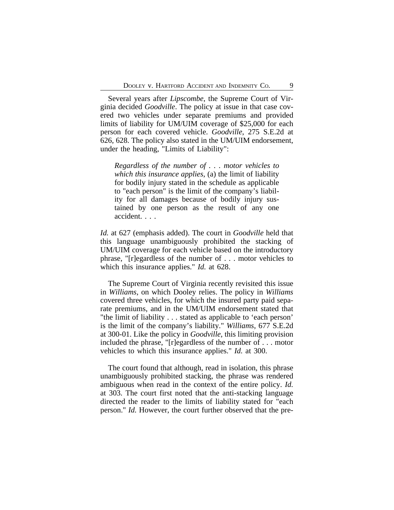Several years after *Lipscombe*, the Supreme Court of Virginia decided *Goodville*. The policy at issue in that case covered two vehicles under separate premiums and provided limits of liability for UM/UIM coverage of \$25,000 for each person for each covered vehicle. *Goodville*, 275 S.E.2d at 626, 628. The policy also stated in the UM/UIM endorsement, under the heading, "Limits of Liability":

*Regardless of the number of . . . motor vehicles to which this insurance applies*, (a) the limit of liability for bodily injury stated in the schedule as applicable to "each person" is the limit of the company's liability for all damages because of bodily injury sustained by one person as the result of any one accident. . . .

*Id.* at 627 (emphasis added). The court in *Goodville* held that this language unambiguously prohibited the stacking of UM/UIM coverage for each vehicle based on the introductory phrase, "[r]egardless of the number of . . . motor vehicles to which this insurance applies." *Id.* at 628.

The Supreme Court of Virginia recently revisited this issue in *Williams*, on which Dooley relies. The policy in *Williams* covered three vehicles, for which the insured party paid separate premiums, and in the UM/UIM endorsement stated that "the limit of liability . . . stated as applicable to 'each person' is the limit of the company's liability." *Williams*, 677 S.E.2d at 300-01. Like the policy in *Goodville*, this limiting provision included the phrase, "[r]egardless of the number of . . . motor vehicles to which this insurance applies." *Id.* at 300.

The court found that although, read in isolation, this phrase unambiguously prohibited stacking, the phrase was rendered ambiguous when read in the context of the entire policy. *Id.* at 303. The court first noted that the anti-stacking language directed the reader to the limits of liability stated for "each person." *Id.* However, the court further observed that the pre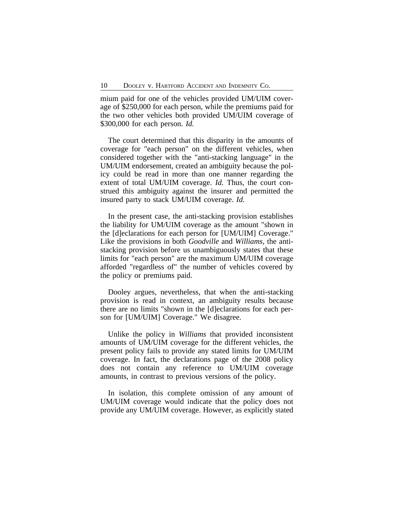mium paid for one of the vehicles provided UM/UIM coverage of \$250,000 for each person, while the premiums paid for the two other vehicles both provided UM/UIM coverage of \$300,000 for each person. *Id.*

The court determined that this disparity in the amounts of coverage for "each person" on the different vehicles, when considered together with the "anti-stacking language" in the UM/UIM endorsement, created an ambiguity because the policy could be read in more than one manner regarding the extent of total UM/UIM coverage. *Id.* Thus, the court construed this ambiguity against the insurer and permitted the insured party to stack UM/UIM coverage. *Id.*

In the present case, the anti-stacking provision establishes the liability for UM/UIM coverage as the amount "shown in the [d]eclarations for each person for [UM/UIM] Coverage." Like the provisions in both *Goodville* and *Williams*, the antistacking provision before us unambiguously states that these limits for "each person" are the maximum UM/UIM coverage afforded "regardless of" the number of vehicles covered by the policy or premiums paid.

Dooley argues, nevertheless, that when the anti-stacking provision is read in context, an ambiguity results because there are no limits "shown in the [d]eclarations for each person for [UM/UIM] Coverage." We disagree.

Unlike the policy in *Williams* that provided inconsistent amounts of UM/UIM coverage for the different vehicles, the present policy fails to provide any stated limits for UM/UIM coverage. In fact, the declarations page of the 2008 policy does not contain any reference to UM/UIM coverage amounts, in contrast to previous versions of the policy.

In isolation, this complete omission of any amount of UM/UIM coverage would indicate that the policy does not provide any UM/UIM coverage. However, as explicitly stated